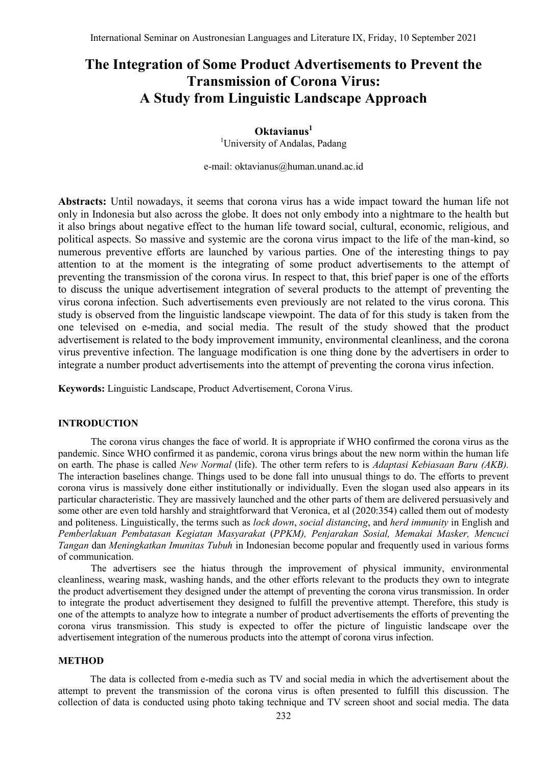# **The Integration of Some Product Advertisements to Prevent the Transmission of Corona Virus: A Study from Linguistic Landscape Approach**

# **Oktavianus<sup>1</sup>** <sup>1</sup>University of Andalas, Padang

e-mail: [oktavianus@human.unand.ac.id](mailto:oktavianus@human.unand.ac.id)

**Abstracts:** Until nowadays, it seems that corona virus has a wide impact toward the human life not only in Indonesia but also across the globe. It does not only embody into a nightmare to the health but it also brings about negative effect to the human life toward social, cultural, economic, religious, and political aspects. So massive and systemic are the corona virus impact to the life of the man-kind, so numerous preventive efforts are launched by various parties. One of the interesting things to pay attention to at the moment is the integrating of some product advertisements to the attempt of preventing the transmission of the corona virus. In respect to that, this brief paper is one of the efforts to discuss the unique advertisement integration of several products to the attempt of preventing the virus corona infection. Such advertisements even previously are not related to the virus corona. This study is observed from the linguistic landscape viewpoint. The data of for this study is taken from the one televised on e-media, and social media. The result of the study showed that the product advertisement is related to the body improvement immunity, environmental cleanliness, and the corona virus preventive infection. The language modification is one thing done by the advertisers in order to integrate a number product advertisements into the attempt of preventing the corona virus infection.

**Keywords:** Linguistic Landscape, Product Advertisement, Corona Virus.

#### **INTRODUCTION**

The corona virus changes the face of world. It is appropriate if WHO confirmed the corona virus as the pandemic. Since WHO confirmed it as pandemic, corona virus brings about the new norm within the human life on earth. The phase is called *New Normal* (life). The other term refers to is *Adaptasi Kebiasaan Baru (AKB).* The interaction baselines change. Things used to be done fall into unusual things to do. The efforts to prevent corona virus is massively done either institutionally or individually. Even the slogan used also appears in its particular characteristic. They are massively launched and the other parts of them are delivered persuasively and some other are even told harshly and straightforward that Veronica, et al (2020:354) called them out of modesty and politeness. Linguistically, the terms such as *lock down*, *social distancing*, and *herd immunity* in English and *Pemberlakuan Pembatasan Kegiatan Masyarakat* (*PPKM), Penjarakan Sosial, Memakai Masker, Mencuci Tangan* dan *Meningkatkan Imunitas Tubuh* in Indonesian become popular and frequently used in various forms of communication.

The advertisers see the hiatus through the improvement of physical immunity, environmental cleanliness, wearing mask, washing hands, and the other efforts relevant to the products they own to integrate the product advertisement they designed under the attempt of preventing the corona virus transmission. In order to integrate the product advertisement they designed to fulfill the preventive attempt. Therefore, this study is one of the attempts to analyze how to integrate a number of product advertisements the efforts of preventing the corona virus transmission. This study is expected to offer the picture of linguistic landscape over the advertisement integration of the numerous products into the attempt of corona virus infection.

#### **METHOD**

The data is collected from e-media such as TV and social media in which the advertisement about the attempt to prevent the transmission of the corona virus is often presented to fulfill this discussion. The collection of data is conducted using photo taking technique and TV screen shoot and social media. The data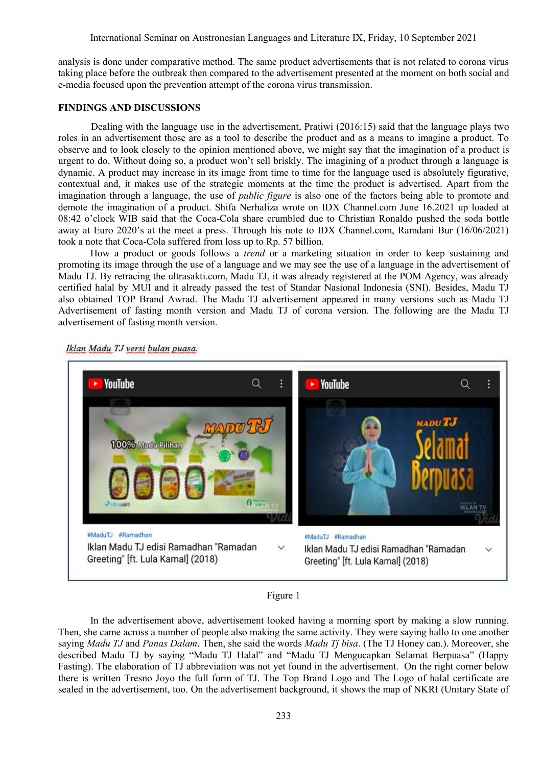analysis is done under comparative method. The same product advertisements that is not related to corona virus taking place before the outbreak then compared to the advertisement presented at the moment on both social and e-media focused upon the prevention attempt of the corona virus transmission.

#### **FINDINGS AND DISCUSSIONS**

Dealing with the language use in the advertisement, Pratiwi (2016:15) said that the language plays two roles in an advertisement those are as a tool to describe the product and as a means to imagine a product. To observe and to look closely to the opinion mentioned above, we might say that the imagination of a product is urgent to do. Without doing so, a product won"t sell briskly. The imagining of a product through a language is dynamic. A product may increase in its image from time to time for the language used is absolutely figurative, contextual and, it makes use of the strategic moments at the time the product is advertised. Apart from the imagination through a language, the use of *public figure* is also one of the factors being able to promote and demote the imagination of a product. Shifa Nerhaliza wrote on IDX Channel.com June 16.2021 up loaded at 08:42 o"clock WIB said that the Coca-Cola share crumbled due to Christian Ronaldo pushed the soda bottle away at Euro 2020's at the meet a press. Through his note to IDX Channel.com, Ramdani Bur (16/06/2021) took a note that Coca-Cola suffered from loss up to Rp. 57 billion.

How a product or goods follows a *trend* or a marketing situation in order to keep sustaining and promoting its image through the use of a language and we may see the use of a language in the advertisement of Madu TJ. By retracing the ultrasakti.com, Madu TJ, it was already registered at the POM Agency, was already certified halal by MUI and it already passed the test of Standar Nasional Indonesia (SNI). Besides, Madu TJ also obtained TOP Brand Awrad. The Madu TJ advertisement appeared in many versions such as Madu TJ Advertisement of fasting month version and Madu TJ of corona version. The following are the Madu TJ advertisement of fasting month version.



Iklan Madu TJ versi bulan puasa.

## Figure 1

In the advertisement above, advertisement looked having a morning sport by making a slow running. Then, she came across a number of people also making the same activity. They were saying hallo to one another saying *Madu TJ* and *Panas Dalam*. Then, she said the words *Madu Tj bisa*. (The TJ Honey can.). Moreover, she described Madu TJ by saying "Madu TJ Halal" and "Madu TJ Mengucapkan Selamat Berpuasa" (Happy Fasting). The elaboration of TJ abbreviation was not yet found in the advertisement. On the right corner below there is written Tresno Joyo the full form of TJ. The Top Brand Logo and The Logo of halal certificate are sealed in the advertisement, too. On the advertisement background, it shows the map of NKRI (Unitary State of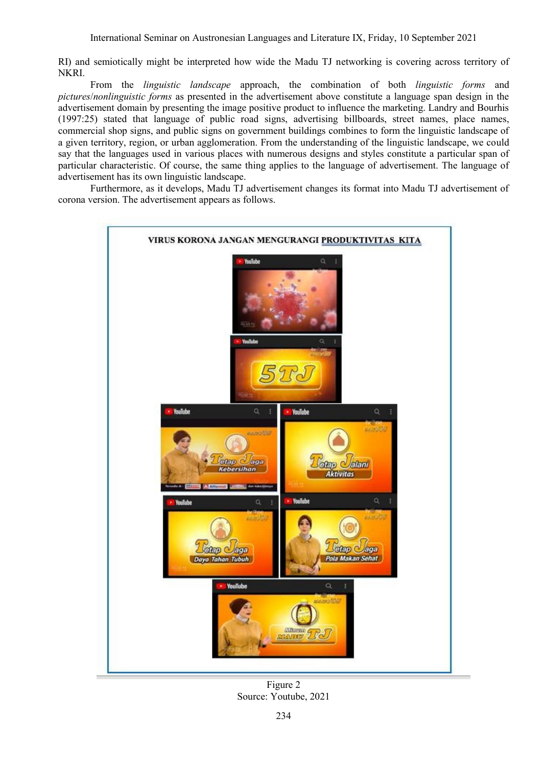RI) and semiotically might be interpreted how wide the Madu TJ networking is covering across territory of NKRI.

From the *linguistic landscape* approach, the combination of both *linguistic forms* and *pictures*/*nonlinguistic forms* as presented in the advertisement above constitute a language span design in the advertisement domain by presenting the image positive product to influence the marketing. Landry and Bourhis (1997:25) stated that language of public road signs, advertising billboards, street names, place names, commercial shop signs, and public signs on government buildings combines to form the linguistic landscape of a given territory, region, or urban agglomeration. From the understanding of the linguistic landscape, we could say that the languages used in various places with numerous designs and styles constitute a particular span of particular characteristic. Of course, the same thing applies to the language of advertisement. The language of advertisement has its own linguistic landscape.

Furthermore, as it develops, Madu TJ advertisement changes its format into Madu TJ advertisement of corona version. The advertisement appears as follows.



Figure 2 Source: Youtube, 2021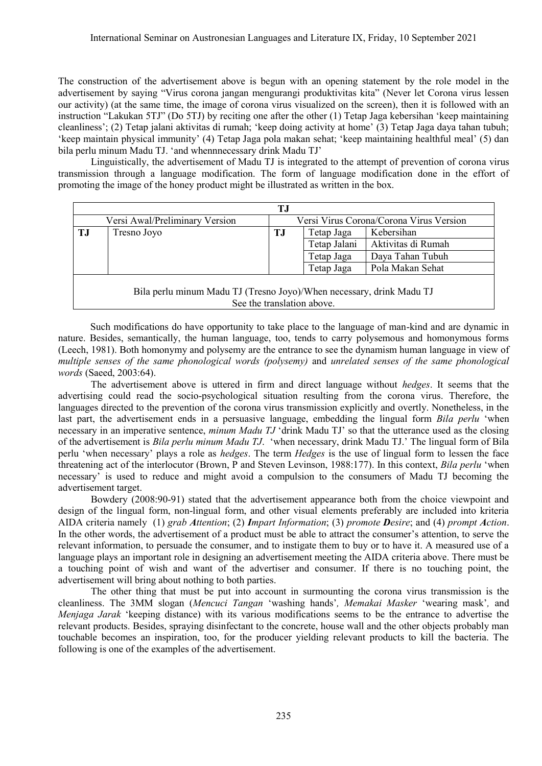The construction of the advertisement above is begun with an opening statement by the role model in the advertisement by saying "Virus corona jangan mengurangi produktivitas kita" (Never let Corona virus lessen our activity) (at the same time, the image of corona virus visualized on the screen), then it is followed with an instruction "Lakukan 5TJ" (Do 5TJ) by reciting one after the other (1) Tetap Jaga kebersihan "keep maintaining cleanliness"; (2) Tetap jalani aktivitas di rumah; "keep doing activity at home" (3) Tetap Jaga daya tahan tubuh; "keep maintain physical immunity" (4) Tetap Jaga pola makan sehat; "keep maintaining healthful meal" (5) dan bila perlu minum Madu TJ. 'and whennnecessary drink Madu TJ'

Linguistically, the advertisement of Madu TJ is integrated to the attempt of prevention of corona virus transmission through a language modification. The form of language modification done in the effort of promoting the image of the honey product might be illustrated as written in the box.

| T.J                                                                                                |                                |     |                                         |                    |  |
|----------------------------------------------------------------------------------------------------|--------------------------------|-----|-----------------------------------------|--------------------|--|
|                                                                                                    | Versi Awal/Preliminary Version |     | Versi Virus Corona/Corona Virus Version |                    |  |
| TJ                                                                                                 | Tresno Joyo                    | T.J | Tetap Jaga                              | Kebersihan         |  |
|                                                                                                    |                                |     | Tetap Jalani                            | Aktivitas di Rumah |  |
|                                                                                                    |                                |     | Tetap Jaga                              | Daya Tahan Tubuh   |  |
|                                                                                                    |                                |     | Tetap Jaga                              | Pola Makan Sehat   |  |
| Bila perlu minum Madu TJ (Tresno Joyo)/When necessary, drink Madu TJ<br>See the translation above. |                                |     |                                         |                    |  |

Such modifications do have opportunity to take place to the language of man-kind and are dynamic in nature. Besides, semantically, the human language, too, tends to carry polysemous and homonymous forms (Leech, 1981). Both homonymy and polysemy are the entrance to see the dynamism human language in view of *multiple senses of the same phonological words (polysemy)* and *unrelated senses of the same phonological words* (Saeed, 2003:64).

The advertisement above is uttered in firm and direct language without *hedges*. It seems that the advertising could read the socio-psychological situation resulting from the corona virus. Therefore, the languages directed to the prevention of the corona virus transmission explicitly and overtly. Nonetheless, in the last part, the advertisement ends in a persuasive language, embedding the lingual form *Bila perlu* 'when necessary in an imperative sentence, *minum Madu TJ* "drink Madu TJ" so that the utterance used as the closing of the advertisement is *Bila perlu minum Madu TJ*. "when necessary, drink Madu TJ." The lingual form of Bila perlu "when necessary" plays a role as *hedges*. The term *Hedges* is the use of lingual form to lessen the face threatening act of the interlocutor (Brown, P and Steven Levinson, 1988:177). In this context, *Bila perlu* "when necessary" is used to reduce and might avoid a compulsion to the consumers of Madu TJ becoming the advertisement target.

Bowdery (2008:90-91) stated that the advertisement appearance both from the choice viewpoint and design of the lingual form, non-lingual form, and other visual elements preferably are included into kriteria AIDA criteria namely (1) *grab Attention*; (2) *Impart Information*; (3) *promote Desire*; and (4) *prompt Action*. In the other words, the advertisement of a product must be able to attract the consumer's attention, to serve the relevant information, to persuade the consumer, and to instigate them to buy or to have it. A measured use of a language plays an important role in designing an advertisement meeting the AIDA criteria above. There must be a touching point of wish and want of the advertiser and consumer. If there is no touching point, the advertisement will bring about nothing to both parties.

The other thing that must be put into account in surmounting the corona virus transmission is the cleanliness. The 3MM slogan (*Mencuci Tangan* "washing hands"*, Memakai Masker* "wearing mask"*,* and *Menjaga Jarak* "keeping distance) with its various modifications seems to be the entrance to advertise the relevant products. Besides, spraying disinfectant to the concrete, house wall and the other objects probably man touchable becomes an inspiration, too, for the producer yielding relevant products to kill the bacteria. The following is one of the examples of the advertisement.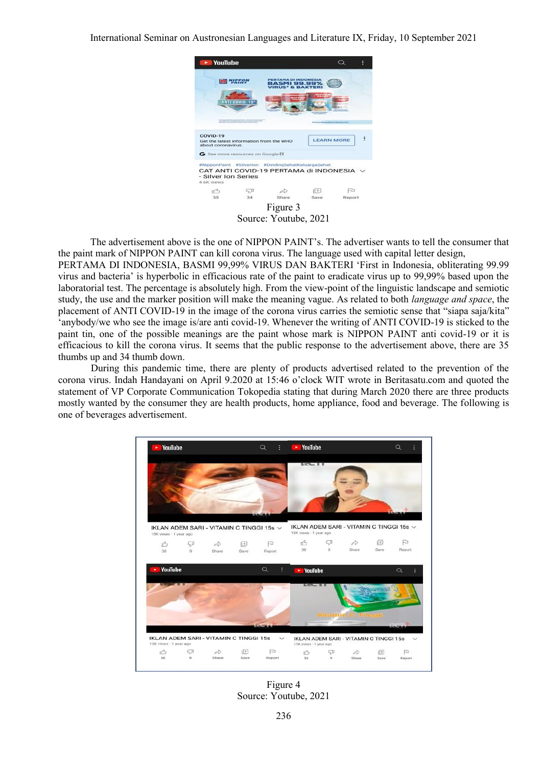

The advertisement above is the one of NIPPON PAINT"s. The advertiser wants to tell the consumer that the paint mark of NIPPON PAINT can kill corona virus. The language used with capital letter design,

PERTAMA DI INDONESIA, BASMI 99,99% VIRUS DAN BAKTERI "First in Indonesia, obliterating 99.99 virus and bacteria" is hyperbolic in efficacious rate of the paint to eradicate virus up to 99,99% based upon the laboratorial test. The percentage is absolutely high. From the view-point of the linguistic landscape and semiotic study, the use and the marker position will make the meaning vague. As related to both *language and space*, the placement of ANTI COVID-19 in the image of the corona virus carries the semiotic sense that "siapa saja/kita" 'anybody/we who see the image is/are anti covid-19. Whenever the writing of ANTI COVID-19 is sticked to the paint tin, one of the possible meanings are the paint whose mark is NIPPON PAINT anti covid-19 or it is efficacious to kill the corona virus. It seems that the public response to the advertisement above, there are 35 thumbs up and 34 thumb down.

During this pandemic time, there are plenty of products advertised related to the prevention of the corona virus. Indah Handayani on April 9.2020 at 15:46 o"clock WIT wrote in Beritasatu.com and quoted the statement of VP Corporate Communication Tokopedia stating that during March 2020 there are three products mostly wanted by the consumer they are health products, home appliance, food and beverage. The following is one of beverages advertisement.



Figure 4 Source: Youtube, 2021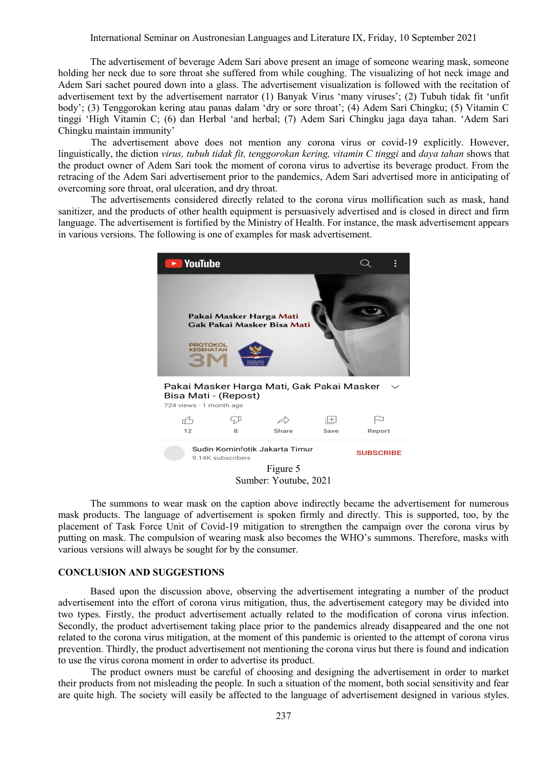The advertisement of beverage Adem Sari above present an image of someone wearing mask, someone holding her neck due to sore throat she suffered from while coughing. The visualizing of hot neck image and Adem Sari sachet poured down into a glass. The advertisement visualization is followed with the recitation of advertisement text by the advertisement narrator (1) Banyak Virus "many viruses"; (2) Tubuh tidak fit "unfit body'; (3) Tenggorokan kering atau panas dalam 'dry or sore throat'; (4) Adem Sari Chingku; (5) Vitamin C tinggi "High Vitamin C; (6) dan Herbal "and herbal; (7) Adem Sari Chingku jaga daya tahan. "Adem Sari Chingku maintain immunity"

The advertisement above does not mention any corona virus or covid-19 explicitly. However, linguistically, the diction *virus, tubuh tidak fit, tenggorokan kering, vitamin C tinggi* and *daya tahan* shows that the product owner of Adem Sari took the moment of corona virus to advertise its beverage product. From the retracing of the Adem Sari advertisement prior to the pandemics, Adem Sari advertised more in anticipating of overcoming sore throat, oral ulceration, and dry throat.

The advertisements considered directly related to the corona virus mollification such as mask, hand sanitizer, and the products of other health equipment is persuasively advertised and is closed in direct and firm language. The advertisement is fortified by the Ministry of Health. For instance, the mask advertisement appears in various versions. The following is one of examples for mask advertisement.



The summons to wear mask on the caption above indirectly became the advertisement for numerous mask products. The language of advertisement is spoken firmly and directly. This is supported, too, by the placement of Task Force Unit of Covid-19 mitigation to strengthen the campaign over the corona virus by putting on mask. The compulsion of wearing mask also becomes the WHO"s summons. Therefore, masks with various versions will always be sought for by the consumer.

#### **CONCLUSION AND SUGGESTIONS**

Based upon the discussion above, observing the advertisement integrating a number of the product advertisement into the effort of corona virus mitigation, thus, the advertisement category may be divided into two types. Firstly, the product advertisement actually related to the modification of corona virus infection. Secondly, the product advertisement taking place prior to the pandemics already disappeared and the one not related to the corona virus mitigation, at the moment of this pandemic is oriented to the attempt of corona virus prevention. Thirdly, the product advertisement not mentioning the corona virus but there is found and indication to use the virus corona moment in order to advertise its product.

The product owners must be careful of choosing and designing the advertisement in order to market their products from not misleading the people. In such a situation of the moment, both social sensitivity and fear are quite high. The society will easily be affected to the language of advertisement designed in various styles.